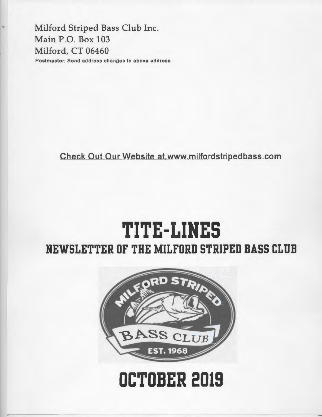Milford Striped Bass Club Inc. Main P.O. Box 103 Milford, CT 06460 Postmaster: Send address changes to above address.

Check Out Our Website at,www milfordstripedbass com

## **TITE-LIHES NEWSLETTER OF THE MILFORD STRIPED BASS CLUB**



# **OCTOBER 2019**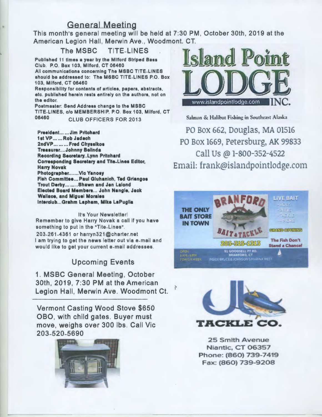### General Meeting

This month's general meeting will be held at 7:30 PM, October 30th, 2019 at the American Legion Hall, Merwin Ave ., Woodmont. CT.

The MSBC TITE-LINES Published 11 times a year by the Milford Striped Bass Club. P.O. Box 103, Milford, CT 06460 All communications concerning The MSBC TITE-LINES should be addressed to: The MSBC TITE-LINES P.O. Box 103, Milford, CT 06460 Responsibility for contents of articles, papers, abstracts, etc. published herein rests entirely on the authors, not on the editor. Postmaster: Send Address change to the MSBC TITE-LINES, c/o MEMBERSHIP, P.O. Box 103, Milford, CT 06460 CLUB OFFICERS FOR 2013

Preeldent... ... Jim Pritchard 1st VP ...... Rob Jadach 2ndVP......... Fred Chyssikos Treasurer....Johnny Belinda Recording Secretary..Lynn Pritchard Corresponding Secretary and Tlte-Lines Editor, Harry Novak Photographer.......Vic Yanosy Fish Committee ... Paul Gluhanlch, Ted Grlangos Trout Derby ........ Shawn and Jen Lalond Elected Board Members ... John Nangle, Jack Wallace, and Miguel Morales lnterclub ... Grahm Lapham, Mike LaPuglla

It's Your Newsletter! Remember to give Harry Novak a call if you have something to put in the "Tite-Lines". 203-261 -4361 or harryn321 @charter. net

I am trying to get the news letter out via e-mail and would like to get your current e-mail addresses .

#### Upcoming Events

1. MSBC General Meeting, October 30th, 2019, 7:30 PM at the American Legion Hall, Merwin Ave. Woodmont Ct.

Vermont Casting Wood Stove \$650 080, with child gates. Buyer must move, weighs over 300 lbs. Call Vic 203-520-5690





Salmon & Halibut Fishing in Southeast Alaska

PO Box 662, Douglas, MA 01516 PO Box 1669, Petersburg, AK 99833 Call Us @ 1-800-352-4522 Email: frank@islandpointlodge.com





25 Smith Avenue **Niantic. CT 06357** Phone: (860) 739-7419 Fax: (860) 739-9208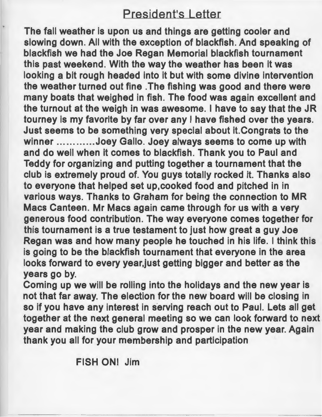### President's Letter

The fall weather is upon us and things are getting cooler and slowing down. All with the exception of blackfish. And speaking of blackfish we had the Joe Regan Memorial blackfish tournament this past weekend. With the way the weather has been it was looking a bit rough headed into it but with some divine intervention the weather turned out fine . The fishing was good and there were many boats that weighed in fish. The food was again excellent and the turnout at the weigh in was awesome. I have to say that the JR tourney is my favorite by far over any I have fished over the years. Just seems to be something very special about it.Congrats to the winner ............ Joey Gallo. Joey always seems to come up with and do well when it comes to blackfish. Thank you to Paul and Teddy for organizing and putting together a tournament that the club is extremely proud of. You guys totally rocked it. Thanks also to everyone that helped set up,cooked food and pitched in in various ways. Thanks to Graham for being the connection to MR Macs Canteen. Mr Macs again came through for us with a very generous food contribution. The way everyone comes together for this tournament is a true testament to just how great a guy Joe Regan was and how many people he touched in his life. I think this is going to be the blackfish tournament that everyone in the area looks forward to every year,just getting bigger and better as the years go by.

Coming up we will be rolling into the holidays and the new year is not that far away. The election for the new board will be closing in so if you have any interest in serving reach out to Paul. Lets all get together at the next general meeting so we can look forward to next year and making the club grow and prosper in the new year. Again thank you all for your membership and participation

FISH ONI Jim

-------------------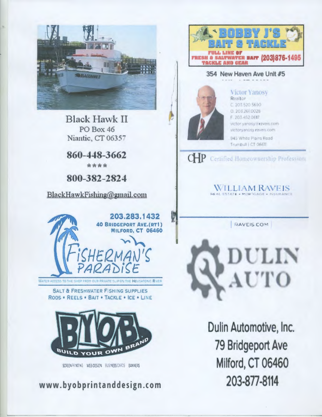

**Black Hawk II PO Box 46** Niantic, CT 06357

860-448-3662 \*\*\*\*

800-382-2824

BlackHawkFishing@gmail.com



ON THE HOUSATONIC RIVER Watt # A

**SALT & FRESHWATER FISHING SUPPLIES** RODS . REELS . BAIT . TACKLE . ICE . LINE



SCREWRINTING WEBCESTEN BUSINESS CARDS BANKERS

www.byobprintanddesign.com



#### 354 New Haven Ave Unit #5

**Victor Yanosy** Realtor 0.203.520.5690 0.2032610028 F. 203-452-0617 victor yanosy Praveis com victoryanosy raveis.com 945 White Plains Road Trumbull | CT 06611

#### CHP Certified Homeownership Profession.



**RAVEIS COM** 



Dulin Automotive, Inc. 79 Bridgeport Ave Milford, CT 06460 203-877-8114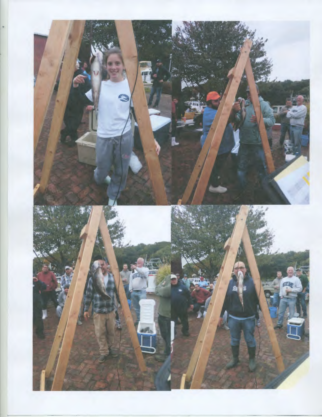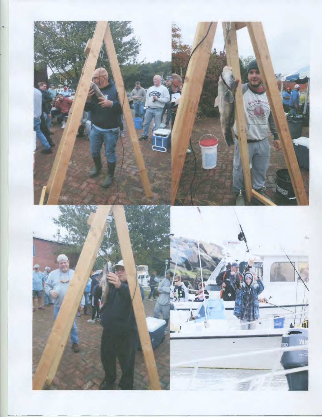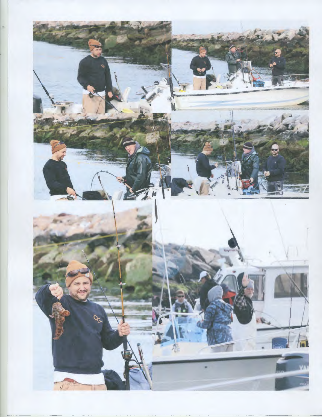